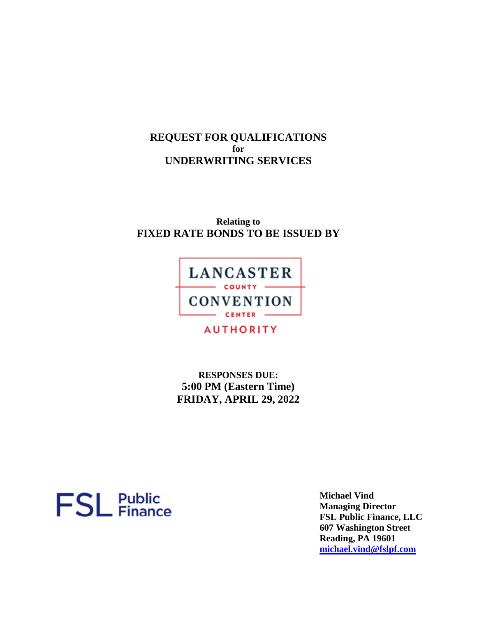**REQUEST FOR QUALIFICATIONS for UNDERWRITING SERVICES** 

**Relating to FIXED RATE BONDS TO BE ISSUED BY** 



**AUTHORITY** 

**RESPONSES DUE: 5:00 PM (Eastern Time) FRIDAY, APRIL 29, 2022** 



**Michael Vind Managing Director FSL Public Finance, LLC 607 Washington Street Reading, PA 19601 michael.vind@fslpf.com**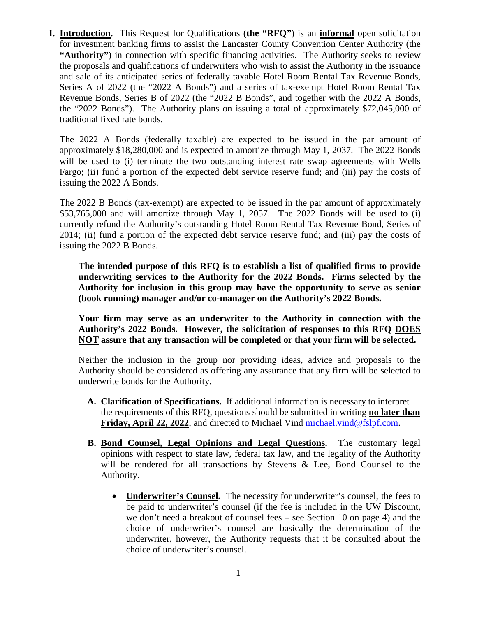**I. Introduction.** This Request for Qualifications (**the "RFQ"**) is an **informal** open solicitation for investment banking firms to assist the Lancaster County Convention Center Authority (the **"Authority"**) in connection with specific financing activities. The Authority seeks to review the proposals and qualifications of underwriters who wish to assist the Authority in the issuance and sale of its anticipated series of federally taxable Hotel Room Rental Tax Revenue Bonds, Series A of 2022 (the "2022 A Bonds") and a series of tax-exempt Hotel Room Rental Tax Revenue Bonds, Series B of 2022 (the "2022 B Bonds", and together with the 2022 A Bonds, the "2022 Bonds"). The Authority plans on issuing a total of approximately \$72,045,000 of traditional fixed rate bonds.

The 2022 A Bonds (federally taxable) are expected to be issued in the par amount of approximately \$18,280,000 and is expected to amortize through May 1, 2037. The 2022 Bonds will be used to (i) terminate the two outstanding interest rate swap agreements with Wells Fargo; (ii) fund a portion of the expected debt service reserve fund; and (iii) pay the costs of issuing the 2022 A Bonds.

The 2022 B Bonds (tax-exempt) are expected to be issued in the par amount of approximately \$53,765,000 and will amortize through May 1, 2057. The 2022 Bonds will be used to (i) currently refund the Authority's outstanding Hotel Room Rental Tax Revenue Bond, Series of 2014; (ii) fund a portion of the expected debt service reserve fund; and (iii) pay the costs of issuing the 2022 B Bonds.

**The intended purpose of this RFQ is to establish a list of qualified firms to provide underwriting services to the Authority for the 2022 Bonds. Firms selected by the Authority for inclusion in this group may have the opportunity to serve as senior (book running) manager and/or co-manager on the Authority's 2022 Bonds.** 

**Your firm may serve as an underwriter to the Authority in connection with the Authority's 2022 Bonds. However, the solicitation of responses to this RFQ DOES NOT assure that any transaction will be completed or that your firm will be selected.** 

Neither the inclusion in the group nor providing ideas, advice and proposals to the Authority should be considered as offering any assurance that any firm will be selected to underwrite bonds for the Authority.

- **A. Clarification of Specifications.** If additional information is necessary to interpret the requirements of this RFQ, questions should be submitted in writing **no later than Friday, April 22, 2022**, and directed to Michael Vind michael.vind@fslpf.com.
- **B. Bond Counsel, Legal Opinions and Legal Questions.** The customary legal opinions with respect to state law, federal tax law, and the legality of the Authority will be rendered for all transactions by Stevens & Lee, Bond Counsel to the Authority.
	- **Underwriter's Counsel.** The necessity for underwriter's counsel, the fees to be paid to underwriter's counsel (if the fee is included in the UW Discount, we don't need a breakout of counsel fees – see Section 10 on page 4) and the choice of underwriter's counsel are basically the determination of the underwriter, however, the Authority requests that it be consulted about the choice of underwriter's counsel.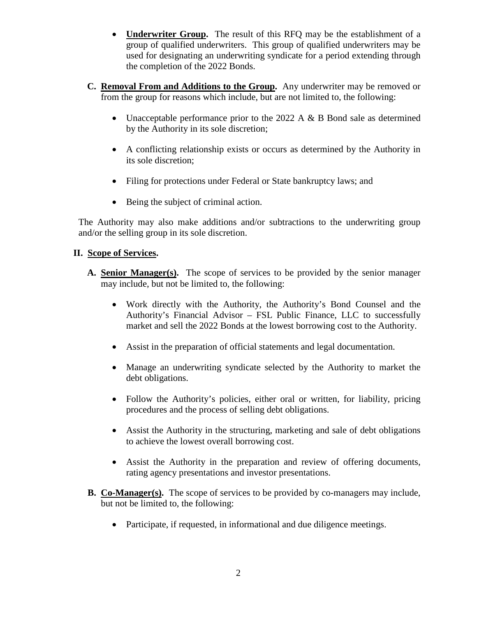- **Underwriter Group.** The result of this RFQ may be the establishment of a group of qualified underwriters. This group of qualified underwriters may be used for designating an underwriting syndicate for a period extending through the completion of the 2022 Bonds.
- **C. Removal From and Additions to the Group.** Any underwriter may be removed or from the group for reasons which include, but are not limited to, the following:
	- Unacceptable performance prior to the 2022 A  $\&$  B Bond sale as determined by the Authority in its sole discretion;
	- A conflicting relationship exists or occurs as determined by the Authority in its sole discretion;
	- Filing for protections under Federal or State bankruptcy laws; and
	- Being the subject of criminal action.

The Authority may also make additions and/or subtractions to the underwriting group and/or the selling group in its sole discretion.

## **II. Scope of Services.**

- **A. Senior Manager(s).** The scope of services to be provided by the senior manager may include, but not be limited to, the following:
	- Work directly with the Authority, the Authority's Bond Counsel and the Authority's Financial Advisor – FSL Public Finance, LLC to successfully market and sell the 2022 Bonds at the lowest borrowing cost to the Authority.
	- Assist in the preparation of official statements and legal documentation.
	- Manage an underwriting syndicate selected by the Authority to market the debt obligations.
	- Follow the Authority's policies, either oral or written, for liability, pricing procedures and the process of selling debt obligations.
	- Assist the Authority in the structuring, marketing and sale of debt obligations to achieve the lowest overall borrowing cost.
	- Assist the Authority in the preparation and review of offering documents, rating agency presentations and investor presentations.
- **B. Co-Manager(s).** The scope of services to be provided by co-managers may include, but not be limited to, the following:
	- Participate, if requested, in informational and due diligence meetings.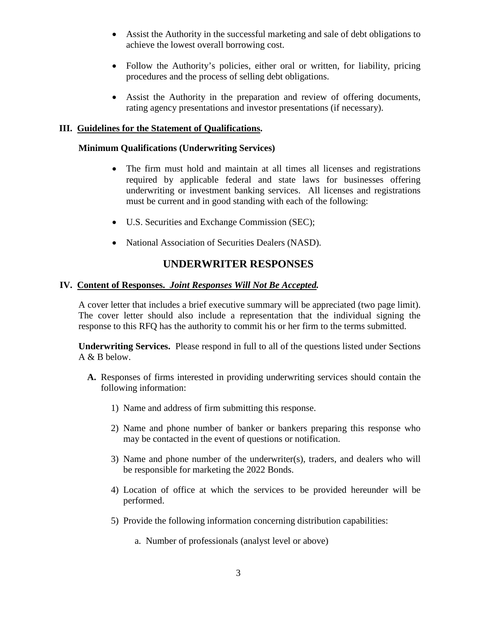- Assist the Authority in the successful marketing and sale of debt obligations to achieve the lowest overall borrowing cost.
- Follow the Authority's policies, either oral or written, for liability, pricing procedures and the process of selling debt obligations.
- Assist the Authority in the preparation and review of offering documents, rating agency presentations and investor presentations (if necessary).

#### **III. Guidelines for the Statement of Qualifications.**

#### **Minimum Qualifications (Underwriting Services)**

- The firm must hold and maintain at all times all licenses and registrations required by applicable federal and state laws for businesses offering underwriting or investment banking services. All licenses and registrations must be current and in good standing with each of the following:
- U.S. Securities and Exchange Commission (SEC);
- National Association of Securities Dealers (NASD).

# **UNDERWRITER RESPONSES**

#### **IV. Content of Responses.** *Joint Responses Will Not Be Accepted.*

A cover letter that includes a brief executive summary will be appreciated (two page limit). The cover letter should also include a representation that the individual signing the response to this RFQ has the authority to commit his or her firm to the terms submitted.

**Underwriting Services.** Please respond in full to all of the questions listed under Sections A  $\&$  B below.

- **A.** Responses of firms interested in providing underwriting services should contain the following information:
	- 1) Name and address of firm submitting this response.
	- 2) Name and phone number of banker or bankers preparing this response who may be contacted in the event of questions or notification.
	- 3) Name and phone number of the underwriter(s), traders, and dealers who will be responsible for marketing the 2022 Bonds.
	- 4) Location of office at which the services to be provided hereunder will be performed.
	- 5) Provide the following information concerning distribution capabilities:
		- a. Number of professionals (analyst level or above)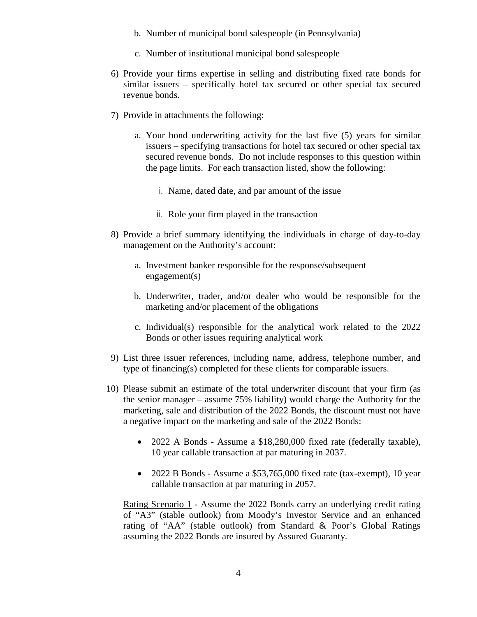- b. Number of municipal bond salespeople (in Pennsylvania)
- c. Number of institutional municipal bond salespeople
- 6) Provide your firms expertise in selling and distributing fixed rate bonds for similar issuers – specifically hotel tax secured or other special tax secured revenue bonds.
- 7) Provide in attachments the following:
	- a. Your bond underwriting activity for the last five (5) years for similar issuers – specifying transactions for hotel tax secured or other special tax secured revenue bonds. Do not include responses to this question within the page limits. For each transaction listed, show the following:
		- i. Name, dated date, and par amount of the issue
		- ii. Role your firm played in the transaction
- 8) Provide a brief summary identifying the individuals in charge of day-to-day management on the Authority's account:
	- a. Investment banker responsible for the response/subsequent engagement(s)
	- b. Underwriter, trader, and/or dealer who would be responsible for the marketing and/or placement of the obligations
	- c. Individual(s) responsible for the analytical work related to the 2022 Bonds or other issues requiring analytical work
- 9) List three issuer references, including name, address, telephone number, and type of financing(s) completed for these clients for comparable issuers.
- 10) Please submit an estimate of the total underwriter discount that your firm (as the senior manager – assume 75% liability) would charge the Authority for the marketing, sale and distribution of the 2022 Bonds, the discount must not have a negative impact on the marketing and sale of the 2022 Bonds:
	- 2022 A Bonds Assume a \$18,280,000 fixed rate (federally taxable), 10 year callable transaction at par maturing in 2037.
	- 2022 B Bonds Assume a \$53,765,000 fixed rate (tax-exempt), 10 year callable transaction at par maturing in 2057.

Rating Scenario 1 - Assume the 2022 Bonds carry an underlying credit rating of "A3" (stable outlook) from Moody's Investor Service and an enhanced rating of "AA" (stable outlook) from Standard & Poor's Global Ratings assuming the 2022 Bonds are insured by Assured Guaranty.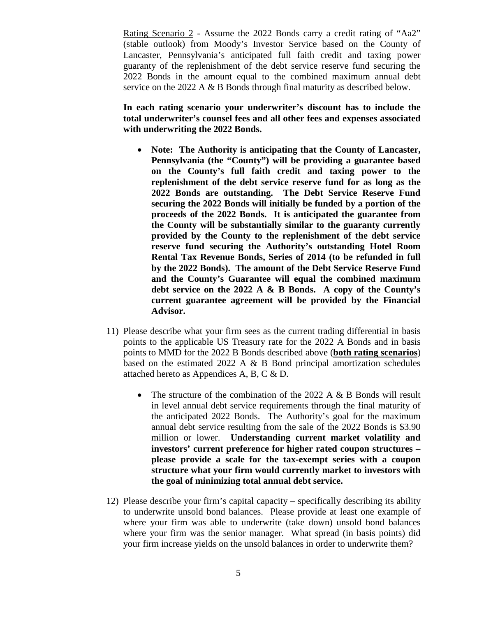Rating Scenario 2 - Assume the 2022 Bonds carry a credit rating of "Aa2" (stable outlook) from Moody's Investor Service based on the County of Lancaster, Pennsylvania's anticipated full faith credit and taxing power guaranty of the replenishment of the debt service reserve fund securing the 2022 Bonds in the amount equal to the combined maximum annual debt service on the 2022 A & B Bonds through final maturity as described below.

**In each rating scenario your underwriter's discount has to include the total underwriter's counsel fees and all other fees and expenses associated with underwriting the 2022 Bonds.** 

- **Note: The Authority is anticipating that the County of Lancaster, Pennsylvania (the "County") will be providing a guarantee based on the County's full faith credit and taxing power to the replenishment of the debt service reserve fund for as long as the 2022 Bonds are outstanding. The Debt Service Reserve Fund securing the 2022 Bonds will initially be funded by a portion of the proceeds of the 2022 Bonds. It is anticipated the guarantee from the County will be substantially similar to the guaranty currently provided by the County to the replenishment of the debt service reserve fund securing the Authority's outstanding Hotel Room Rental Tax Revenue Bonds, Series of 2014 (to be refunded in full by the 2022 Bonds). The amount of the Debt Service Reserve Fund and the County's Guarantee will equal the combined maximum debt service on the 2022 A & B Bonds. A copy of the County's current guarantee agreement will be provided by the Financial Advisor.**
- 11) Please describe what your firm sees as the current trading differential in basis points to the applicable US Treasury rate for the 2022 A Bonds and in basis points to MMD for the 2022 B Bonds described above (**both rating scenarios**) based on the estimated 2022 A  $\&$  B Bond principal amortization schedules attached hereto as Appendices A, B, C & D.
	- The structure of the combination of the 2022 A & B Bonds will result in level annual debt service requirements through the final maturity of the anticipated 2022 Bonds. The Authority's goal for the maximum annual debt service resulting from the sale of the 2022 Bonds is \$3.90 million or lower. **Understanding current market volatility and investors' current preference for higher rated coupon structures – please provide a scale for the tax-exempt series with a coupon structure what your firm would currently market to investors with the goal of minimizing total annual debt service.**
- 12) Please describe your firm's capital capacity specifically describing its ability to underwrite unsold bond balances. Please provide at least one example of where your firm was able to underwrite (take down) unsold bond balances where your firm was the senior manager. What spread (in basis points) did your firm increase yields on the unsold balances in order to underwrite them?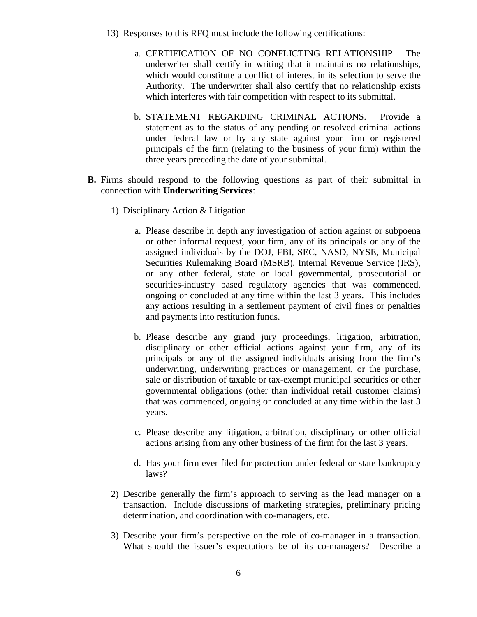- 13) Responses to this RFQ must include the following certifications:
	- a. CERTIFICATION OF NO CONFLICTING RELATIONSHIP. The underwriter shall certify in writing that it maintains no relationships, which would constitute a conflict of interest in its selection to serve the Authority. The underwriter shall also certify that no relationship exists which interferes with fair competition with respect to its submittal.
	- b. STATEMENT REGARDING CRIMINAL ACTIONS. Provide a statement as to the status of any pending or resolved criminal actions under federal law or by any state against your firm or registered principals of the firm (relating to the business of your firm) within the three years preceding the date of your submittal.
- **B.** Firms should respond to the following questions as part of their submittal in connection with **Underwriting Services**:
	- 1) Disciplinary Action & Litigation
		- a. Please describe in depth any investigation of action against or subpoena or other informal request, your firm, any of its principals or any of the assigned individuals by the DOJ, FBI, SEC, NASD, NYSE, Municipal Securities Rulemaking Board (MSRB), Internal Revenue Service (IRS), or any other federal, state or local governmental, prosecutorial or securities-industry based regulatory agencies that was commenced, ongoing or concluded at any time within the last 3 years. This includes any actions resulting in a settlement payment of civil fines or penalties and payments into restitution funds.
		- b. Please describe any grand jury proceedings, litigation, arbitration, disciplinary or other official actions against your firm, any of its principals or any of the assigned individuals arising from the firm's underwriting, underwriting practices or management, or the purchase, sale or distribution of taxable or tax-exempt municipal securities or other governmental obligations (other than individual retail customer claims) that was commenced, ongoing or concluded at any time within the last 3 years.
		- c. Please describe any litigation, arbitration, disciplinary or other official actions arising from any other business of the firm for the last 3 years.
		- d. Has your firm ever filed for protection under federal or state bankruptcy laws?
	- 2) Describe generally the firm's approach to serving as the lead manager on a transaction. Include discussions of marketing strategies, preliminary pricing determination, and coordination with co-managers, etc.
	- 3) Describe your firm's perspective on the role of co-manager in a transaction. What should the issuer's expectations be of its co-managers? Describe a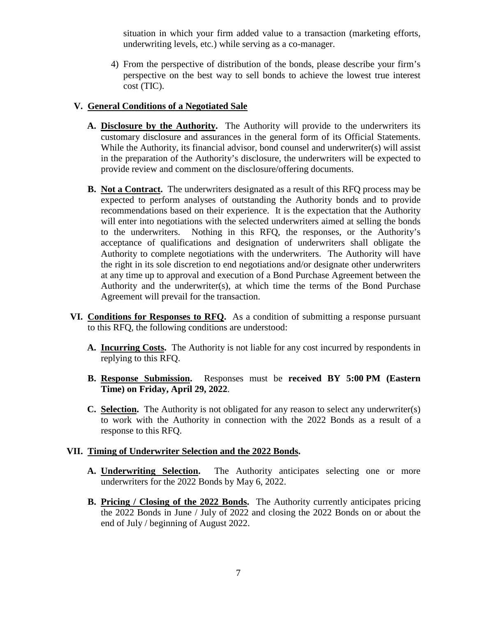situation in which your firm added value to a transaction (marketing efforts, underwriting levels, etc.) while serving as a co-manager.

4) From the perspective of distribution of the bonds, please describe your firm's perspective on the best way to sell bonds to achieve the lowest true interest cost (TIC).

#### **V. General Conditions of a Negotiated Sale**

- **A. Disclosure by the Authority.** The Authority will provide to the underwriters its customary disclosure and assurances in the general form of its Official Statements. While the Authority, its financial advisor, bond counsel and underwriter(s) will assist in the preparation of the Authority's disclosure, the underwriters will be expected to provide review and comment on the disclosure/offering documents.
- **B.** Not a Contract. The underwriters designated as a result of this RFQ process may be expected to perform analyses of outstanding the Authority bonds and to provide recommendations based on their experience. It is the expectation that the Authority will enter into negotiations with the selected underwriters aimed at selling the bonds to the underwriters. Nothing in this RFQ, the responses, or the Authority's acceptance of qualifications and designation of underwriters shall obligate the Authority to complete negotiations with the underwriters. The Authority will have the right in its sole discretion to end negotiations and/or designate other underwriters at any time up to approval and execution of a Bond Purchase Agreement between the Authority and the underwriter(s), at which time the terms of the Bond Purchase Agreement will prevail for the transaction.
- **VI. Conditions for Responses to RFQ.** As a condition of submitting a response pursuant to this RFQ, the following conditions are understood:
	- **A. Incurring Costs.** The Authority is not liable for any cost incurred by respondents in replying to this RFQ.
	- **B. Response Submission.** Responses must be **received BY 5:00 PM (Eastern Time) on Friday, April 29, 2022**.
	- **C. Selection.** The Authority is not obligated for any reason to select any underwriter(s) to work with the Authority in connection with the 2022 Bonds as a result of a response to this RFQ.

#### **VII. Timing of Underwriter Selection and the 2022 Bonds.**

- **A. Underwriting Selection.** The Authority anticipates selecting one or more underwriters for the 2022 Bonds by May 6, 2022.
- **B. Pricing / Closing of the 2022 Bonds.** The Authority currently anticipates pricing the 2022 Bonds in June / July of 2022 and closing the 2022 Bonds on or about the end of July / beginning of August 2022.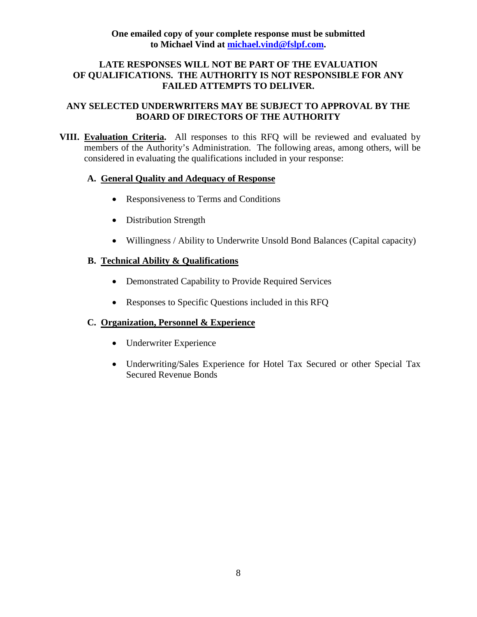## **LATE RESPONSES WILL NOT BE PART OF THE EVALUATION OF QUALIFICATIONS. THE AUTHORITY IS NOT RESPONSIBLE FOR ANY FAILED ATTEMPTS TO DELIVER.**

## **ANY SELECTED UNDERWRITERS MAY BE SUBJECT TO APPROVAL BY THE BOARD OF DIRECTORS OF THE AUTHORITY**

**VIII. Evaluation Criteria.** All responses to this RFQ will be reviewed and evaluated by members of the Authority's Administration. The following areas, among others, will be considered in evaluating the qualifications included in your response:

## **A. General Quality and Adequacy of Response**

- Responsiveness to Terms and Conditions
- Distribution Strength
- Willingness / Ability to Underwrite Unsold Bond Balances (Capital capacity)

## **B. Technical Ability & Qualifications**

- Demonstrated Capability to Provide Required Services
- Responses to Specific Questions included in this RFQ

## **C. Organization, Personnel & Experience**

- Underwriter Experience
- Underwriting/Sales Experience for Hotel Tax Secured or other Special Tax Secured Revenue Bonds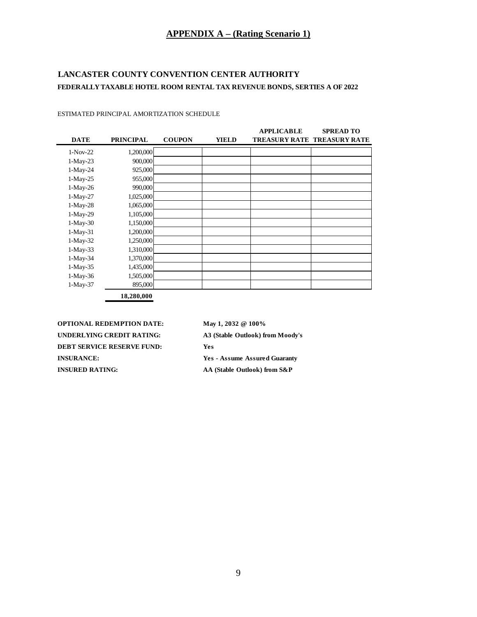#### **APPENDIX A – (Rating Scenario 1)**

## **LANCASTER COUNTY CONVENTION CENTER AUTHORITY FEDERALLY TAXABLE HOTEL ROOM RENTAL TAX REVENUE BONDS, SERTIES A OF 2022**

| <b>DATE</b> | <b>PRINCIPAL</b> | <b>COUPON</b> | <b>YIELD</b> | <b>APPLICABLE</b> | <b>SPREAD TO</b><br>TREASURY RATE TREASURY RATE |
|-------------|------------------|---------------|--------------|-------------------|-------------------------------------------------|
| $1-Nov-22$  | 1,200,000        |               |              |                   |                                                 |
| $1-May-23$  | 900,000          |               |              |                   |                                                 |
| $1-May-24$  | 925,000          |               |              |                   |                                                 |
| $1-May-25$  | 955,000          |               |              |                   |                                                 |
| $1-May-26$  | 990,000          |               |              |                   |                                                 |
| $1-May-27$  | 1,025,000        |               |              |                   |                                                 |
| $1-May-28$  | 1,065,000        |               |              |                   |                                                 |
| $1-May-29$  | 1,105,000        |               |              |                   |                                                 |
| $1-May-30$  | 1,150,000        |               |              |                   |                                                 |
| $1-May-31$  | 1,200,000        |               |              |                   |                                                 |
| $1-May-32$  | 1,250,000        |               |              |                   |                                                 |
| $1-May-33$  | 1,310,000        |               |              |                   |                                                 |
| $1-May-34$  | 1,370,000        |               |              |                   |                                                 |
| $1-May-35$  | 1,435,000        |               |              |                   |                                                 |
| $1-May-36$  | 1,505,000        |               |              |                   |                                                 |
| $1-May-37$  | 895,000          |               |              |                   |                                                 |
|             | 18,280,000       |               |              |                   |                                                 |

#### ESTIMATED PRINCIPAL AMORTIZATION SCHEDULE

**OPTIONAL REDEMPTION DATE:** May 1, 2032 @ 100% **UNDERLYING CREDIT RATING: A3 (Stable Outlook) from Moody's DEBT SERVICE RESERVE FUND: Yes INSURANCE: Yes - Assume Assured Guaranty INSURED RATING:** AA (Stable Outlook) from S&P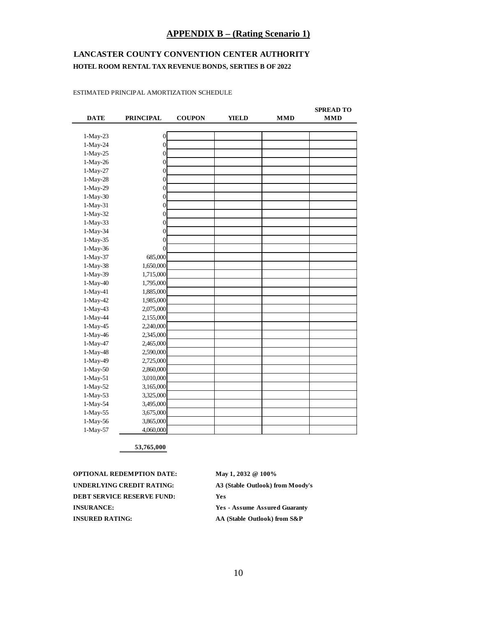#### **APPENDIX B – (Rating Scenario 1)**

## **LANCASTER COUNTY CONVENTION CENTER AUTHORITY HOTEL ROOM RENTAL TAX REVENUE BONDS, SERTIES B OF 2022**

ESTIMATED PRINCIPAL AMORTIZATION SCHEDULE

| <b>DATE</b> | <b>PRINCIPAL</b> | <b>COUPON</b> | <b>YIELD</b> | <b>MMD</b> | <b>SPREAD TO</b><br><b>MMD</b> |
|-------------|------------------|---------------|--------------|------------|--------------------------------|
|             |                  |               |              |            |                                |
| 1-May-23    | $\overline{0}$   |               |              |            |                                |
| 1-May-24    | $\overline{0}$   |               |              |            |                                |
| 1-May-25    | $\overline{0}$   |               |              |            |                                |
| 1-May-26    | $\overline{0}$   |               |              |            |                                |
| 1-May-27    | $\boldsymbol{0}$ |               |              |            |                                |
| $1-May-28$  | $\boldsymbol{0}$ |               |              |            |                                |
| 1-May-29    | $\overline{0}$   |               |              |            |                                |
| $1-May-30$  | $\overline{0}$   |               |              |            |                                |
| 1-May-31    | $\overline{0}$   |               |              |            |                                |
| 1-May-32    | $\overline{0}$   |               |              |            |                                |
| 1-May-33    | $\overline{0}$   |               |              |            |                                |
| 1-May-34    | $\overline{0}$   |               |              |            |                                |
| 1-May-35    | $\overline{0}$   |               |              |            |                                |
| 1-May-36    | $\theta$         |               |              |            |                                |
| 1-May-37    | 685,000          |               |              |            |                                |
| 1-May-38    | 1,650,000        |               |              |            |                                |
| 1-May-39    | 1,715,000        |               |              |            |                                |
| 1-May-40    | 1,795,000        |               |              |            |                                |
| 1-May-41    | 1,885,000        |               |              |            |                                |
| 1-May-42    | 1,985,000        |               |              |            |                                |
| 1-May-43    | 2,075,000        |               |              |            |                                |
| 1-May-44    | 2,155,000        |               |              |            |                                |
| 1-May-45    | 2,240,000        |               |              |            |                                |
| 1-May-46    | 2,345,000        |               |              |            |                                |
| 1-May-47    | 2,465,000        |               |              |            |                                |
| 1-May-48    | 2,590,000        |               |              |            |                                |
| 1-May-49    | 2,725,000        |               |              |            |                                |
| 1-May-50    | 2,860,000        |               |              |            |                                |
| 1-May-51    | 3,010,000        |               |              |            |                                |
| 1-May-52    | 3,165,000        |               |              |            |                                |
| 1-May-53    | 3,325,000        |               |              |            |                                |
| 1-May-54    | 3,495,000        |               |              |            |                                |
| 1-May-55    | 3,675,000        |               |              |            |                                |
| 1-May-56    | 3,865,000        |               |              |            |                                |
| 1-May-57    | 4,060,000        |               |              |            |                                |

**53,765,000**

**OPTIONAL REDEMPTION DATE:** May 1, 2032 @ 100% **UNDERLYING CREDIT RATING: A3 (Stable Outlook) from Moody's DEBT SERVICE RESERVE FUND: Yes INSURANCE: Yes - Assume Assured Guaranty INSURED RATING:** AA (Stable Outlook) from S&P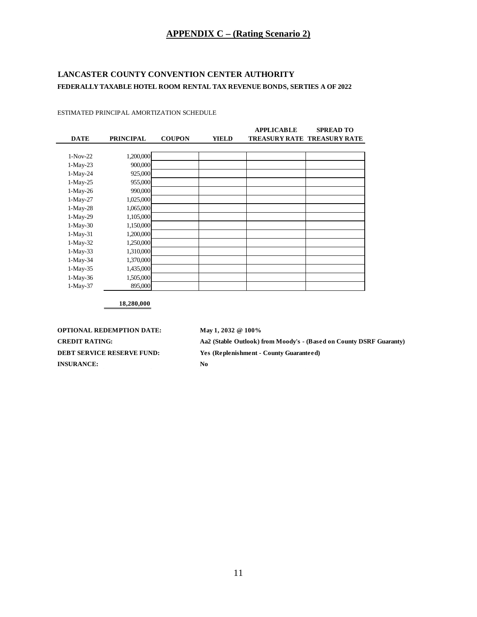# **APPENDIX C – (Rating Scenario 2)**

## **LANCASTER COUNTY CONVENTION CENTER AUTHORITY FEDERALLY TAXABLE HOTEL ROOM RENTAL TAX REVENUE BONDS, SERTIES A OF 2022**

| <b>DATE</b> | <b>PRINCIPAL</b> | <b>COUPON</b> | <b>YIELD</b> | <b>APPLICABLE</b> | <b>SPREAD TO</b><br><b>TREASURY RATE TREASURY RATE</b> |
|-------------|------------------|---------------|--------------|-------------------|--------------------------------------------------------|
|             |                  |               |              |                   |                                                        |
| $1-Nov-22$  | 1,200,000        |               |              |                   |                                                        |
| $1-May-23$  | 900,000          |               |              |                   |                                                        |
| $1-May-24$  | 925,000          |               |              |                   |                                                        |
| $1-May-25$  | 955,000          |               |              |                   |                                                        |
| $1-May-26$  | 990,000          |               |              |                   |                                                        |
| $1-May-27$  | 1,025,000        |               |              |                   |                                                        |
| $1-May-28$  | 1,065,000        |               |              |                   |                                                        |
| $1-May-29$  | 1,105,000        |               |              |                   |                                                        |
| $1-May-30$  | 1,150,000        |               |              |                   |                                                        |
| $1-May-31$  | 1,200,000        |               |              |                   |                                                        |
| $1-May-32$  | 1,250,000        |               |              |                   |                                                        |
| $1-May-33$  | 1,310,000        |               |              |                   |                                                        |
| $1-May-34$  | 1,370,000        |               |              |                   |                                                        |
| $1-May-35$  | 1,435,000        |               |              |                   |                                                        |
| $1-May-36$  | 1,505,000        |               |              |                   |                                                        |
| $1-May-37$  | 895,000          |               |              |                   |                                                        |

ESTIMATED PRINCIPAL AMORTIZATION SCHEDULE

**18,280,000**

**OPTIONAL REDEMPTION DATE:** May 1, 2032 @ 100% **INSURANCE: No**

**CREDIT RATING: Aa2 (Stable Outlook) from Moody's - (Based on County DSRF Guaranty) DEBT SERVICE RESERVE FUND: Yes (Replenishment - County Guaranteed)**